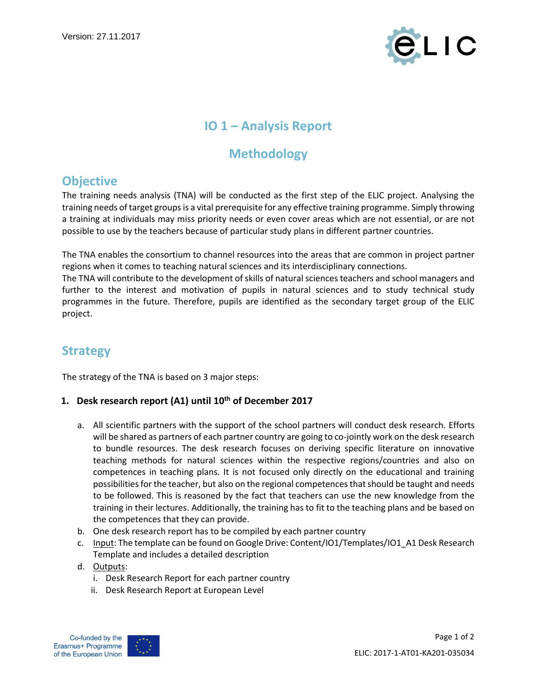

## **IO 1 – Analysis Report**

# **Methodology**

## **Objective**

The training needs analysis (TNA) will be conducted as the first step of the ELIC project. Analysing the training needs of target groups is a vital prerequisite for any effective training programme. Simply throwing a training at individuals may miss priority needs or even cover areas which are not essential, or are not possible to use by the teachers because of particular study plans in different partner countries.

The TNA enables the consortium to channel resources into the areas that are common in project partner regions when it comes to teaching natural sciences and its interdisciplinary connections.

The TNA will contribute to the development of skills of natural sciences teachers and school managers and further to the interest and motivation of pupils in natural sciences and to study technical study programmes in the future. Therefore, pupils are identified as the secondary target group of the ELIC project.

# **Strategy**

The strategy of the TNA is based on 3 major steps:

### **1. Desk research report (A1) until 10th of December 2017**

- a. All scientific partners with the support of the school partners will conduct desk research. Efforts will be shared as partners of each partner country are going to co-jointly work on the desk research to bundle resources. The desk research focuses on deriving specific literature on innovative teaching methods for natural sciences within the respective regions/countries and also on competences in teaching plans. It is not focused only directly on the educational and training possibilities for the teacher, but also on the regional competences that should be taught and needs to be followed. This is reasoned by the fact that teachers can use the new knowledge from the training in their lectures. Additionally, the training has to fit to the teaching plans and be based on the competences that they can provide.
- b. One desk research report has to be compiled by each partner country
- c. Input: The template can be found on Google Drive: Content/IO1/Templates/IO1\_A1 Desk Research Template and includes a detailed description
- d. Outputs:
	- i. Desk Research Report for each partner country
	- ii. Desk Research Report at European Level